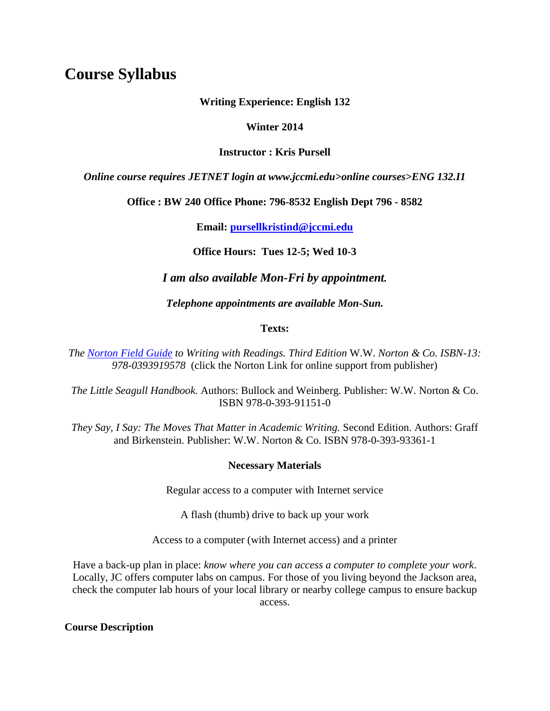# **Course Syllabus**

**Writing Experience: English 132** 

#### **Winter 2014**

#### **Instructor : Kris Pursell**

*Online course requires JETNET login at www.jccmi.edu>online courses>ENG 132.I1* 

**Office : BW 240 Office Phone: 796-8532 English Dept 796 - 8582** 

**Email: [pursellkristind@jccmi.edu](mailto:pursellkristind@jccmi.edu)** 

**Office Hours: Tues 12-5; Wed 10-3**

#### *I am also available Mon-Fri by appointment.*

*Telephone appointments are available Mon-Sun.*

#### **Texts:**

*The [Norton Field Guide](http://www.wwnorton.com/college/english/write/fieldguide/templates_worksheets.asp) to Writing with Readings. Third Edition* W.W. *Norton & Co. ISBN-13: 978-0393919578* (click the Norton Link for online support from publisher)

*The Little Seagull Handbook.* Authors: Bullock and Weinberg. Publisher: W.W. Norton & Co. ISBN 978-0-393-91151-0

*They Say, I Say: The Moves That Matter in Academic Writing.* Second Edition. Authors: Graff and Birkenstein. Publisher: W.W. Norton & Co. ISBN 978-0-393-93361-1

#### **Necessary Materials**

Regular access to a computer with Internet service

A flash (thumb) drive to back up your work

Access to a computer (with Internet access) and a printer

Have a back-up plan in place: *know where you can access a computer to complete your work*. Locally, JC offers computer labs on campus. For those of you living beyond the Jackson area, check the computer lab hours of your local library or nearby college campus to ensure backup access.

**Course Description**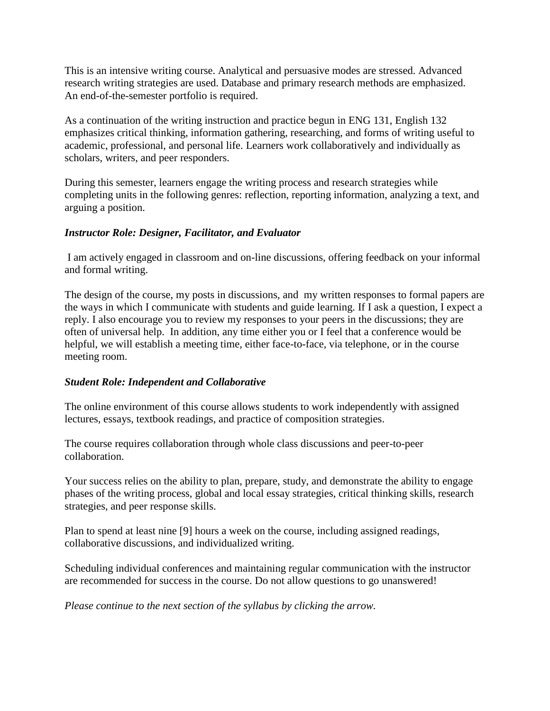This is an intensive writing course. Analytical and persuasive modes are stressed. Advanced research writing strategies are used. Database and primary research methods are emphasized. An end-of-the-semester portfolio is required.

As a continuation of the writing instruction and practice begun in ENG 131, English 132 emphasizes critical thinking, information gathering, researching, and forms of writing useful to academic, professional, and personal life. Learners work collaboratively and individually as scholars, writers, and peer responders.

During this semester, learners engage the writing process and research strategies while completing units in the following genres: reflection, reporting information, analyzing a text, and arguing a position.

#### *Instructor Role: Designer, Facilitator, and Evaluator*

I am actively engaged in classroom and on-line discussions, offering feedback on your informal and formal writing.

The design of the course, my posts in discussions, and my written responses to formal papers are the ways in which I communicate with students and guide learning. If I ask a question, I expect a reply. I also encourage you to review my responses to your peers in the discussions; they are often of universal help. In addition, any time either you or I feel that a conference would be helpful, we will establish a meeting time, either face-to-face, via telephone, or in the course meeting room.

#### *Student Role: Independent and Collaborative*

The online environment of this course allows students to work independently with assigned lectures, essays, textbook readings, and practice of composition strategies.

The course requires collaboration through whole class discussions and peer-to-peer collaboration.

Your success relies on the ability to plan, prepare, study, and demonstrate the ability to engage phases of the writing process, global and local essay strategies, critical thinking skills, research strategies, and peer response skills.

Plan to spend at least nine [9] hours a week on the course, including assigned readings, collaborative discussions, and individualized writing.

Scheduling individual conferences and maintaining regular communication with the instructor are recommended for success in the course. Do not allow questions to go unanswered!

*Please continue to the next section of the syllabus by clicking the arrow.*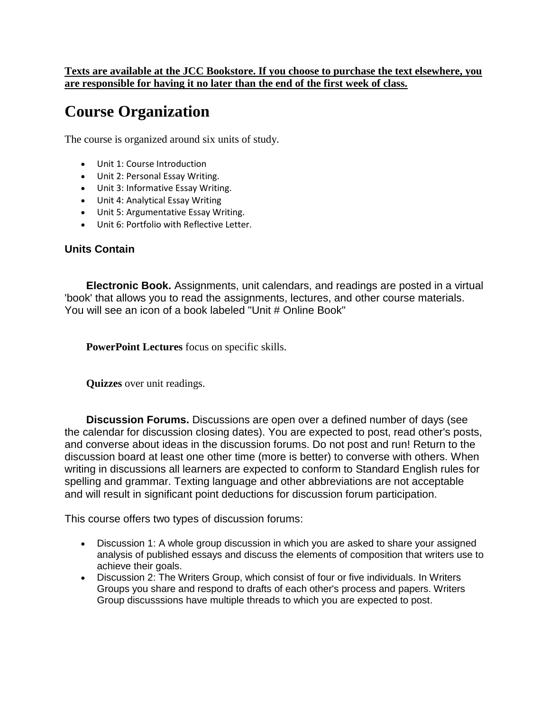**Texts are available at the JCC Bookstore. If you choose to purchase the text elsewhere, you are responsible for having it no later than the end of the first week of class.** 

# **Course Organization**

The course is organized around six units of study.

- Unit 1: Course Introduction
- Unit 2: Personal Essay Writing.
- Unit 3: Informative Essay Writing.
- Unit 4: Analytical Essay Writing
- Unit 5: Argumentative Essay Writing.
- Unit 6: Portfolio with Reflective Letter.

#### **Units Contain**

**Electronic Book.** Assignments, unit calendars, and readings are posted in a virtual 'book' that allows you to read the assignments, lectures, and other course materials. You will see an icon of a book labeled "Unit # Online Book"

**PowerPoint Lectures** focus on specific skills.

**Quizzes** over unit readings.

**Discussion Forums.** Discussions are open over a defined number of days (see the calendar for discussion closing dates). You are expected to post, read other's posts, and converse about ideas in the discussion forums. Do not post and run! Return to the discussion board at least one other time (more is better) to converse with others. When writing in discussions all learners are expected to conform to Standard English rules for spelling and grammar. Texting language and other abbreviations are not acceptable and will result in significant point deductions for discussion forum participation.

This course offers two types of discussion forums:

- Discussion 1: A whole group discussion in which you are asked to share your assigned analysis of published essays and discuss the elements of composition that writers use to achieve their goals.
- Discussion 2: The Writers Group, which consist of four or five individuals. In Writers Groups you share and respond to drafts of each other's process and papers. Writers Group discusssions have multiple threads to which you are expected to post.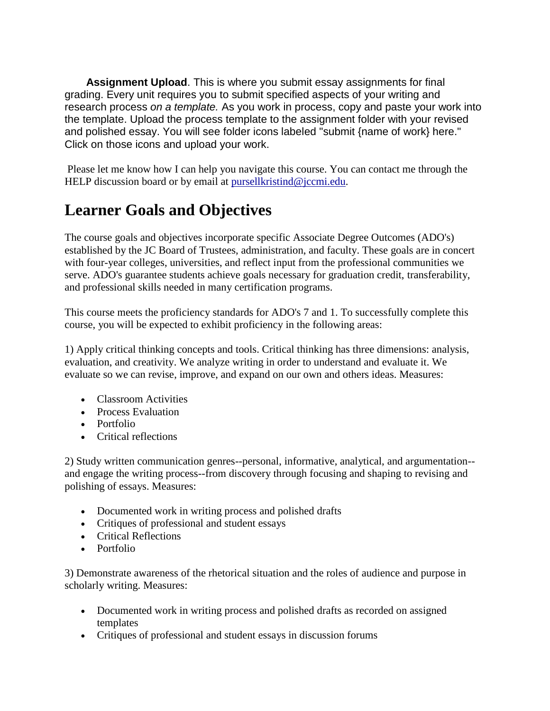**Assignment Upload**. This is where you submit essay assignments for final grading. Every unit requires you to submit specified aspects of your writing and research process *on a template.* As you work in process, copy and paste your work into the template. Upload the process template to the assignment folder with your revised and polished essay. You will see folder icons labeled "submit {name of work} here." Click on those icons and upload your work.

Please let me know how I can help you navigate this course. You can contact me through the HELP discussion board or by email at [pursellkristind@jccmi.edu.](mailto:pursellkristind@jccmi.edu)

# **Learner Goals and Objectives**

The course goals and objectives incorporate specific Associate Degree Outcomes (ADO's) established by the JC Board of Trustees, administration, and faculty. These goals are in concert with four-year colleges, universities, and reflect input from the professional communities we serve. ADO's guarantee students achieve goals necessary for graduation credit, transferability, and professional skills needed in many certification programs.

This course meets the proficiency standards for ADO's 7 and 1. To successfully complete this course, you will be expected to exhibit proficiency in the following areas:

1) Apply critical thinking concepts and tools. Critical thinking has three dimensions: analysis, evaluation, and creativity. We analyze writing in order to understand and evaluate it. We evaluate so we can revise, improve, and expand on our own and others ideas. Measures:

- Classroom Activities
- Process Evaluation
- Portfolio
- Critical reflections

2) Study written communication genres--personal, informative, analytical, and argumentation- and engage the writing process--from discovery through focusing and shaping to revising and polishing of essays. Measures:

- Documented work in writing process and polished drafts
- Critiques of professional and student essays
- Critical Reflections
- Portfolio

3) Demonstrate awareness of the rhetorical situation and the roles of audience and purpose in scholarly writing. Measures:

- Documented work in writing process and polished drafts as recorded on assigned templates
- Critiques of professional and student essays in discussion forums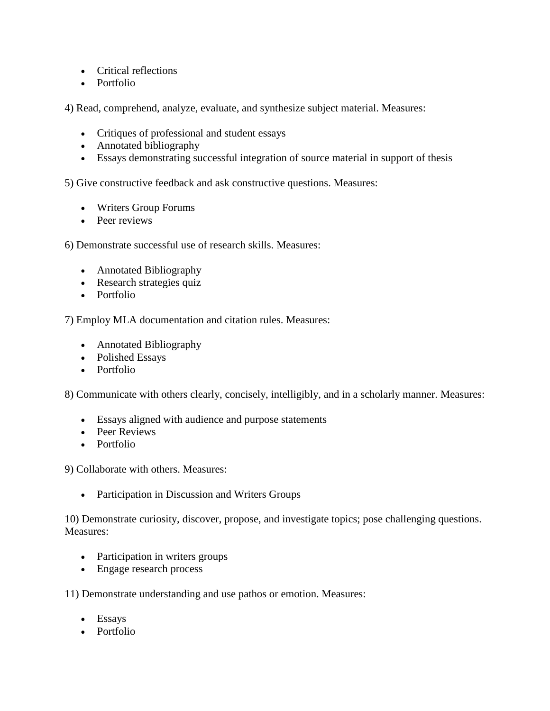- Critical reflections
- Portfolio

4) Read, comprehend, analyze, evaluate, and synthesize subject material. Measures:

- Critiques of professional and student essays
- Annotated bibliography
- Essays demonstrating successful integration of source material in support of thesis

5) Give constructive feedback and ask constructive questions. Measures:

- Writers Group Forums
- Peer reviews

6) Demonstrate successful use of research skills. Measures:

- Annotated Bibliography
- Research strategies quiz
- Portfolio

7) Employ MLA documentation and citation rules. Measures:

- Annotated Bibliography
- Polished Essays
- Portfolio

8) Communicate with others clearly, concisely, intelligibly, and in a scholarly manner. Measures:

- Essays aligned with audience and purpose statements
- Peer Reviews
- Portfolio

9) Collaborate with others. Measures:

• Participation in Discussion and Writers Groups

10) Demonstrate curiosity, discover, propose, and investigate topics; pose challenging questions. Measures:

- Participation in writers groups
- Engage research process

11) Demonstrate understanding and use pathos or emotion. Measures:

- Essays
- Portfolio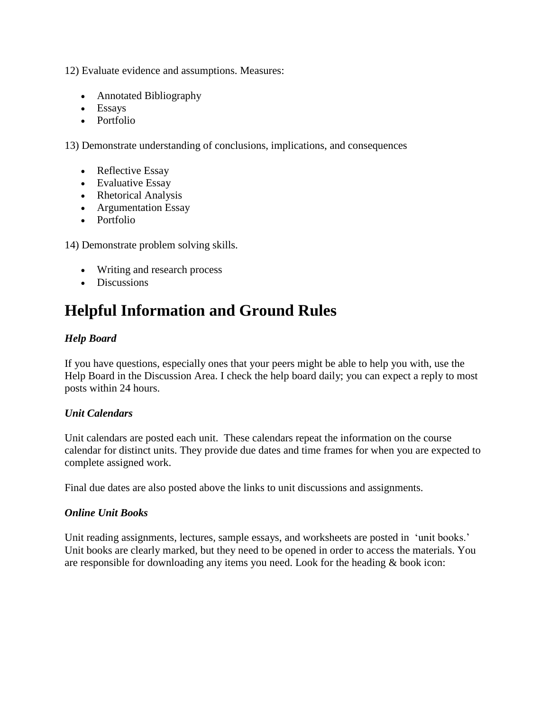12) Evaluate evidence and assumptions. Measures:

- Annotated Bibliography
- Essays
- Portfolio

13) Demonstrate understanding of conclusions, implications, and consequences

- Reflective Essay
- Evaluative Essay
- Rhetorical Analysis
- Argumentation Essay
- Portfolio

14) Demonstrate problem solving skills.

- Writing and research process
- Discussions

# **Helpful Information and Ground Rules**

#### *Help Board*

If you have questions, especially ones that your peers might be able to help you with, use the Help Board in the Discussion Area. I check the help board daily; you can expect a reply to most posts within 24 hours.

#### *Unit Calendars*

Unit calendars are posted each unit. These calendars repeat the information on the course calendar for distinct units. They provide due dates and time frames for when you are expected to complete assigned work.

Final due dates are also posted above the links to unit discussions and assignments.

#### *Online Unit Books*

Unit reading assignments, lectures, sample essays, and worksheets are posted in 'unit books.' Unit books are clearly marked, but they need to be opened in order to access the materials. You are responsible for downloading any items you need. Look for the heading & book icon: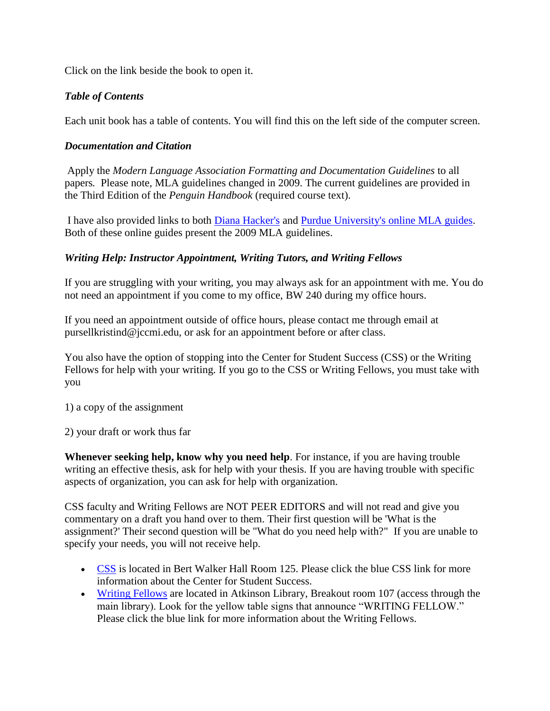Click on the link beside the book to open it.

#### *Table of Contents*

Each unit book has a table of contents. You will find this on the left side of the computer screen.

#### *Documentation and Citation*

Apply the *Modern Language Association Formatting and Documentation Guidelines* to all papers*.* Please note, MLA guidelines changed in 2009. The current guidelines are provided in the Third Edition of the *Penguin Handbook* (required course text).

I have also provided links to both [Diana Hacker's](http://bcs.bedfordstmartins.com/resdoc5e/RES5e_ch04_o.html) and [Purdue University's online MLA guides.](http://owl.english.purdue.edu/owl/resource/747/01/) Both of these online guides present the 2009 MLA guidelines.

#### *Writing Help: Instructor Appointment, Writing Tutors, and Writing Fellows*

If you are struggling with your writing, you may always ask for an appointment with me. You do not need an appointment if you come to my office, BW 240 during my office hours.

If you need an appointment outside of office hours, please contact me through email at pursellkristind@jccmi.edu, or ask for an appointment before or after class.

You also have the option of stopping into the Center for Student Success (CSS) or the Writing Fellows for help with your writing. If you go to the CSS or Writing Fellows, you must take with you

1) a copy of the assignment

2) your draft or work thus far

**Whenever seeking help, know why you need help**. For instance, if you are having trouble writing an effective thesis, ask for help with your thesis. If you are having trouble with specific aspects of organization, you can ask for help with organization.

CSS faculty and Writing Fellows are NOT PEER EDITORS and will not read and give you commentary on a draft you hand over to them. Their first question will be 'What is the assignment?' Their second question will be "What do you need help with?" If you are unable to specify your needs, you will not receive help.

- [CSS](http://www.jccmi.edu/success/) is located in Bert Walker Hall Room 125. Please click the blue CSS link for more information about the Center for Student Success.
- [Writing Fellows](http://www.jccmi.edu/writingfellows/faq.htm) are located in Atkinson Library, Breakout room 107 (access through the main library). Look for the yellow table signs that announce "WRITING FELLOW." Please click the blue link for more information about the Writing Fellows.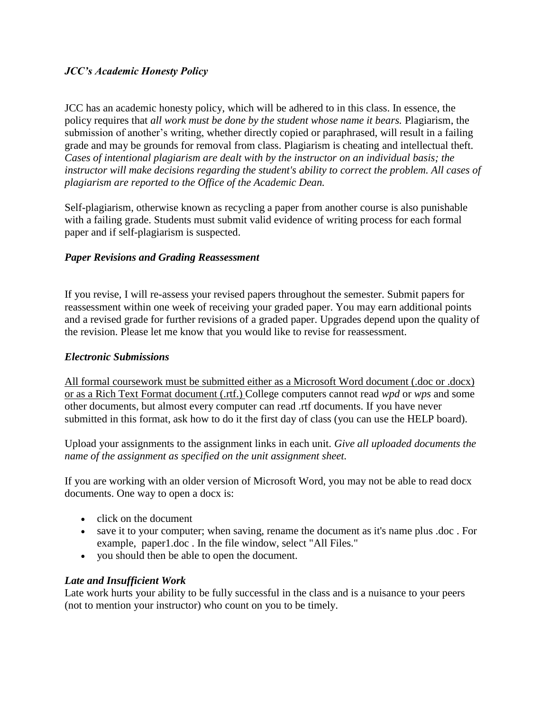#### *JCC's Academic Honesty Policy*

JCC has an academic honesty policy, which will be adhered to in this class. In essence, the policy requires that *all work must be done by the student whose name it bears.* Plagiarism, the submission of another's writing, whether directly copied or paraphrased, will result in a failing grade and may be grounds for removal from class. Plagiarism is cheating and intellectual theft. *Cases of intentional plagiarism are dealt with by the instructor on an individual basis; the instructor will make decisions regarding the student's ability to correct the problem. All cases of plagiarism are reported to the Office of the Academic Dean.* 

Self-plagiarism, otherwise known as recycling a paper from another course is also punishable with a failing grade. Students must submit valid evidence of writing process for each formal paper and if self-plagiarism is suspected.

#### *Paper Revisions and Grading Reassessment*

If you revise, I will re-assess your revised papers throughout the semester. Submit papers for reassessment within one week of receiving your graded paper. You may earn additional points and a revised grade for further revisions of a graded paper. Upgrades depend upon the quality of the revision. Please let me know that you would like to revise for reassessment.

#### *Electronic Submissions*

All formal coursework must be submitted either as a Microsoft Word document (.doc or .docx) or as a Rich Text Format document (.rtf.) College computers cannot read *wpd* or *wps* and some other documents, but almost every computer can read .rtf documents. If you have never submitted in this format, ask how to do it the first day of class (you can use the HELP board).

Upload your assignments to the assignment links in each unit. *Give all uploaded documents the name of the assignment as specified on the unit assignment sheet.* 

If you are working with an older version of Microsoft Word, you may not be able to read docx documents. One way to open a docx is:

- click on the document
- save it to your computer; when saving, rename the document as it's name plus .doc . For example, paper1.doc . In the file window, select "All Files."
- you should then be able to open the document.

#### *Late and Insufficient Work*

Late work hurts your ability to be fully successful in the class and is a nuisance to your peers (not to mention your instructor) who count on you to be timely.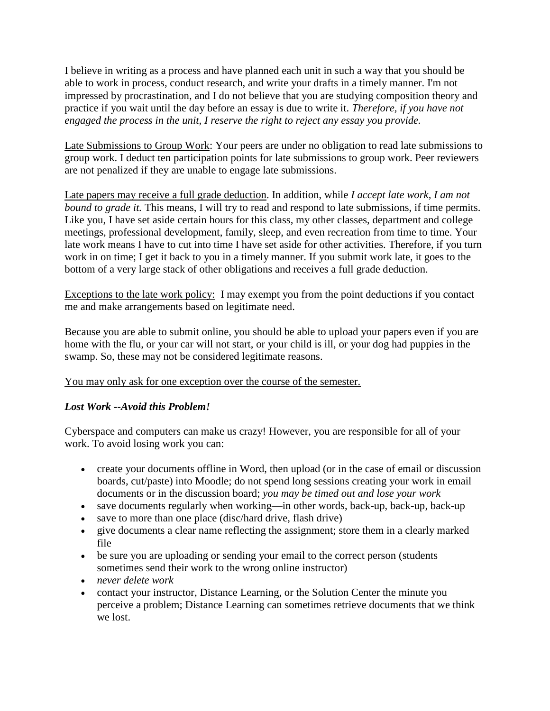I believe in writing as a process and have planned each unit in such a way that you should be able to work in process, conduct research, and write your drafts in a timely manner. I'm not impressed by procrastination, and I do not believe that you are studying composition theory and practice if you wait until the day before an essay is due to write it. *Therefore, if you have not engaged the process in the unit, I reserve the right to reject any essay you provide.* 

Late Submissions to Group Work: Your peers are under no obligation to read late submissions to group work. I deduct ten participation points for late submissions to group work. Peer reviewers are not penalized if they are unable to engage late submissions.

Late papers may receive a full grade deduction. In addition, while *I accept late work, I am not bound to grade it.* This means, I will try to read and respond to late submissions, if time permits. Like you, I have set aside certain hours for this class, my other classes, department and college meetings, professional development, family, sleep, and even recreation from time to time. Your late work means I have to cut into time I have set aside for other activities. Therefore, if you turn work in on time; I get it back to you in a timely manner. If you submit work late, it goes to the bottom of a very large stack of other obligations and receives a full grade deduction.

Exceptions to the late work policy: I may exempt you from the point deductions if you contact me and make arrangements based on legitimate need.

Because you are able to submit online, you should be able to upload your papers even if you are home with the flu, or your car will not start, or your child is ill, or your dog had puppies in the swamp. So, these may not be considered legitimate reasons.

You may only ask for one exception over the course of the semester.

#### *Lost Work --Avoid this Problem!*

Cyberspace and computers can make us crazy! However, you are responsible for all of your work. To avoid losing work you can:

- create your documents offline in Word, then upload (or in the case of email or discussion boards, cut/paste) into Moodle; do not spend long sessions creating your work in email documents or in the discussion board; *you may be timed out and lose your work*
- save documents regularly when working—in other words, back-up, back-up, back-up
- save to more than one place (disc/hard drive, flash drive)
- give documents a clear name reflecting the assignment; store them in a clearly marked file
- be sure you are uploading or sending your email to the correct person (students sometimes send their work to the wrong online instructor)
- *never delete work*
- contact your instructor, Distance Learning, or the Solution Center the minute you perceive a problem; Distance Learning can sometimes retrieve documents that we think we lost.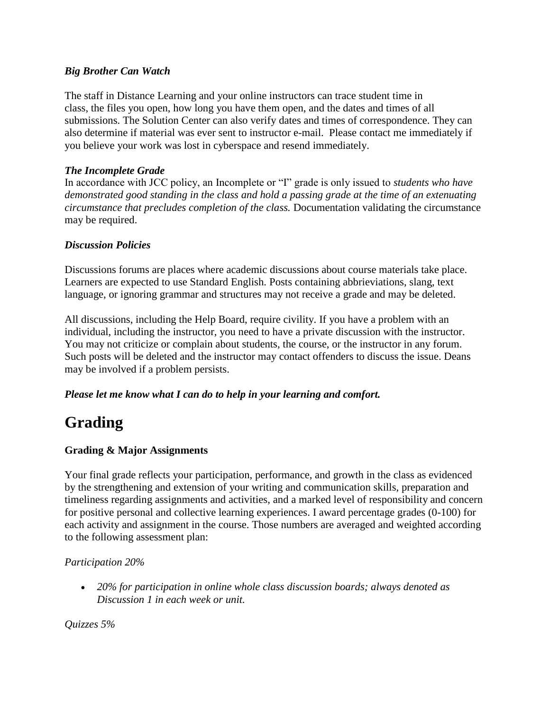#### *Big Brother Can Watch*

The staff in Distance Learning and your online instructors can trace student time in class, the files you open, how long you have them open, and the dates and times of all submissions. The Solution Center can also verify dates and times of correspondence. They can also determine if material was ever sent to instructor e-mail. Please contact me immediately if you believe your work was lost in cyberspace and resend immediately.

#### *The Incomplete Grade*

In accordance with JCC policy, an Incomplete or "I" grade is only issued to *students who have demonstrated good standing in the class and hold a passing grade at the time of an extenuating circumstance that precludes completion of the class.* Documentation validating the circumstance may be required.

#### *Discussion Policies*

Discussions forums are places where academic discussions about course materials take place. Learners are expected to use Standard English. Posts containing abbrieviations, slang, text language, or ignoring grammar and structures may not receive a grade and may be deleted.

All discussions, including the Help Board, require civility. If you have a problem with an individual, including the instructor, you need to have a private discussion with the instructor. You may not criticize or complain about students, the course, or the instructor in any forum. Such posts will be deleted and the instructor may contact offenders to discuss the issue. Deans may be involved if a problem persists.

*Please let me know what I can do to help in your learning and comfort.* 

# **Grading**

#### **Grading & Major Assignments**

Your final grade reflects your participation, performance, and growth in the class as evidenced by the strengthening and extension of your writing and communication skills, preparation and timeliness regarding assignments and activities, and a marked level of responsibility and concern for positive personal and collective learning experiences. I award percentage grades (0-100) for each activity and assignment in the course. Those numbers are averaged and weighted according to the following assessment plan:

#### *Participation 20%*

 *20% for participation in online whole class discussion boards; always denoted as Discussion 1 in each week or unit.* 

*Quizzes 5%*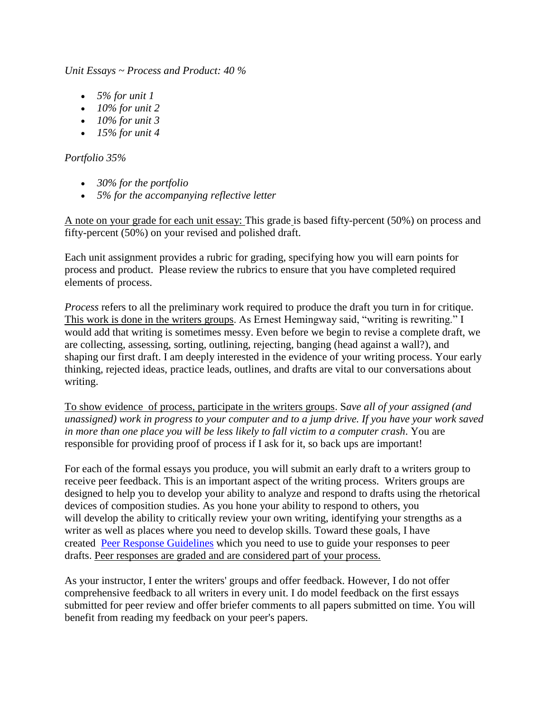*Unit Essays ~ Process and Product: 40 %* 

- *5% for unit 1*
- *10% for unit 2*
- *10% for unit 3*
- *15% for unit 4*

#### *Portfolio 35%*

- *30% for the portfolio*
- *5% for the accompanying reflective letter*

A note on your grade for each unit essay: This grade is based fifty-percent (50%) on process and fifty-percent (50%) on your revised and polished draft.

Each unit assignment provides a rubric for grading, specifying how you will earn points for process and product. Please review the rubrics to ensure that you have completed required elements of process.

*Process* refers to all the preliminary work required to produce the draft you turn in for critique. This work is done in the writers groups. As Ernest Hemingway said, "writing is rewriting." I would add that writing is sometimes messy. Even before we begin to revise a complete draft, we are collecting, assessing, sorting, outlining, rejecting, banging (head against a wall?), and shaping our first draft. I am deeply interested in the evidence of your writing process. Your early thinking, rejected ideas, practice leads, outlines, and drafts are vital to our conversations about writing.

To show evidence of process, participate in the writers groups. S*ave all of your assigned (and unassigned) work in progress to your computer and to a jump drive. If you have your work saved in more than one place you will be less likely to fall victim to a computer crash*. You are responsible for providing proof of process if I ask for it, so back ups are important!

For each of the formal essays you produce, you will submit an early draft to a writers group to receive peer feedback. This is an important aspect of the writing process. Writers groups are designed to help you to develop your ability to analyze and respond to drafts using the rhetorical devices of composition studies. As you hone your ability to respond to others, you will develop the ability to critically review your own writing, identifying your strengths as a writer as well as places where you need to develop skills. Toward these goals, I have created [Peer Response](http://jetnet.jccmi.edu/mod/book/view.php?id=539598&chapterid=42891) Guidelines which you need to use to guide your responses to peer drafts. Peer responses are graded and are considered part of your process.

As your instructor, I enter the writers' groups and offer feedback. However, I do not offer comprehensive feedback to all writers in every unit. I do model feedback on the first essays submitted for peer review and offer briefer comments to all papers submitted on time. You will benefit from reading my feedback on your peer's papers.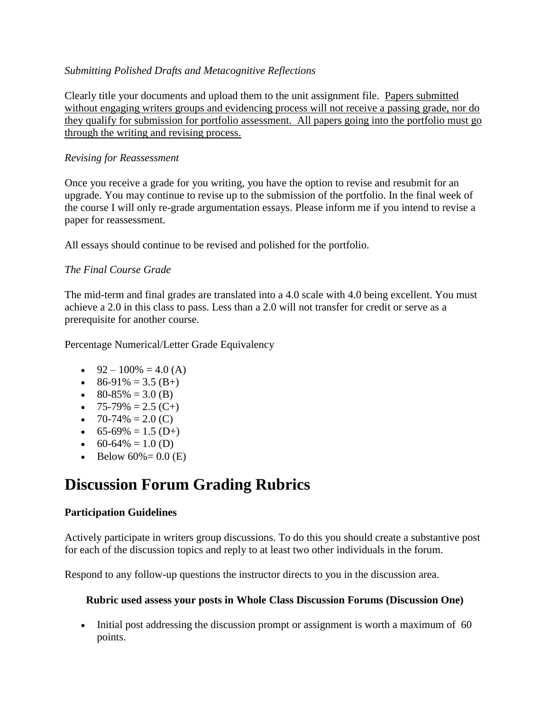#### *Submitting Polished Drafts and Metacognitive Reflections*

Clearly title your documents and upload them to the unit assignment file. Papers submitted without engaging writers groups and evidencing process will not receive a passing grade, nor do they qualify for submission for portfolio assessment. All papers going into the portfolio must go through the writing and revising process.

#### *Revising for Reassessment*

Once you receive a grade for you writing, you have the option to revise and resubmit for an upgrade. You may continue to revise up to the submission of the portfolio. In the final week of the course I will only re-grade argumentation essays. Please inform me if you intend to revise a paper for reassessment.

All essays should continue to be revised and polished for the portfolio.

#### *The Final Course Grade*

The mid-term and final grades are translated into a 4.0 scale with 4.0 being excellent. You must achieve a 2.0 in this class to pass. Less than a 2.0 will not transfer for credit or serve as a prerequisite for another course.

Percentage Numerical/Letter Grade Equivalency

- $\bullet$  92 100% = 4.0 (A)
- $\bullet$  86-91% = 3.5 (B+)
- $\bullet$  80-85% = 3.0 (B)
- $\bullet$  75-79% = 2.5 (C+)
- $\bullet$  70-74% = 2.0 (C)
- 65-69% = 1.5 (D+)
- 60-64% = 1.0 (D)
- Below  $60\% = 0.0$  (E)

# **Discussion Forum Grading Rubrics**

#### **Participation Guidelines**

Actively participate in writers group discussions. To do this you should create a substantive post for each of the discussion topics and reply to at least two other individuals in the forum.

Respond to any follow-up questions the instructor directs to you in the discussion area.

#### **Rubric used assess your posts in Whole Class Discussion Forums (Discussion One)**

 Initial post addressing the discussion prompt or assignment is worth a maximum of 60 points.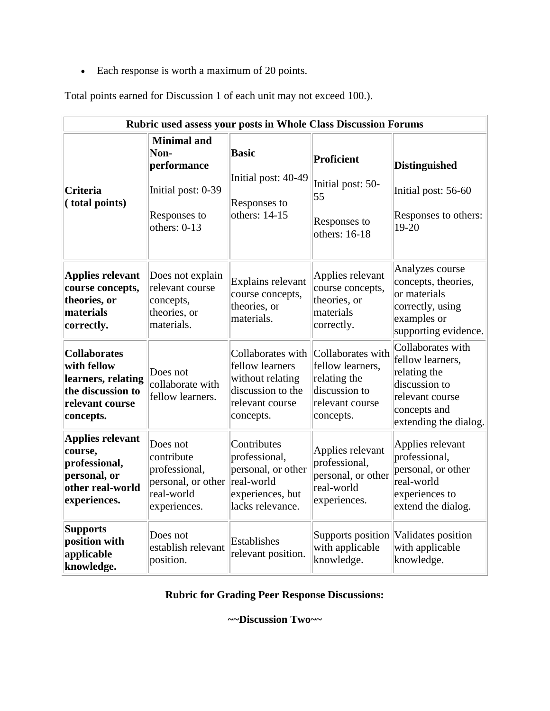Each response is worth a maximum of 20 points.

Total points earned for Discussion 1 of each unit may not exceed 100.).

| Rubric used assess your posts in Whole Class Discussion Forums                                                |                                                                                                   |                                                                                                               |                                                                                                        |                                                                                                                                    |  |
|---------------------------------------------------------------------------------------------------------------|---------------------------------------------------------------------------------------------------|---------------------------------------------------------------------------------------------------------------|--------------------------------------------------------------------------------------------------------|------------------------------------------------------------------------------------------------------------------------------------|--|
| <b>Criteria</b><br>(total points)                                                                             | <b>Minimal</b> and<br>Non-<br>performance<br>Initial post: 0-39<br>Responses to<br>others: $0-13$ | <b>Basic</b><br>Initial post: 40-49<br>Responses to<br>others: 14-15                                          | Proficient<br>Initial post: 50-<br>55<br>Responses to<br>others: 16-18                                 | <b>Distinguished</b><br>Initial post: 56-60<br>Responses to others:<br>19-20                                                       |  |
| <b>Applies relevant</b><br>course concepts,<br>theories, or<br>materials<br>correctly.                        | Does not explain<br>relevant course<br>concepts,<br>theories, or<br>materials.                    | Explains relevant<br>course concepts,<br>theories, or<br>materials.                                           | Applies relevant<br>course concepts,<br>theories, or<br>materials<br>correctly.                        | Analyzes course<br>concepts, theories,<br>or materials<br>correctly, using<br>examples or<br>supporting evidence.                  |  |
| <b>Collaborates</b><br>with fellow<br>learners, relating<br>the discussion to<br>relevant course<br>concepts. | Does not<br>collaborate with<br>fellow learners.                                                  | Collaborates with<br>fellow learners<br>without relating<br>discussion to the<br>relevant course<br>concepts. | Collaborates with<br>fellow learners,<br>relating the<br>discussion to<br>relevant course<br>concepts. | Collaborates with<br>fellow learners,<br>relating the<br>discussion to<br>relevant course<br>concepts and<br>extending the dialog. |  |
| <b>Applies relevant</b><br>course,<br>professional,<br>personal, or<br>other real-world<br>experiences.       | Does not<br>contribute<br>professional,<br>personal, or other<br>real-world<br>experiences.       | Contributes<br>professional,<br>personal, or other<br>real-world<br>experiences, but<br>lacks relevance.      | Applies relevant<br>professional,<br>personal, or other<br>real-world<br>experiences.                  | Applies relevant<br>professional,<br>personal, or other<br>real-world<br>experiences to<br>extend the dialog.                      |  |
| <b>Supports</b><br>position with<br>applicable<br>knowledge.                                                  | Does not<br>establish relevant<br>position.                                                       | <b>Establishes</b><br>relevant position.                                                                      | Supports position<br>with applicable<br>knowledge.                                                     | Validates position<br>with applicable<br>knowledge.                                                                                |  |

# **Rubric for Grading Peer Response Discussions:**

**~~Discussion Two~~**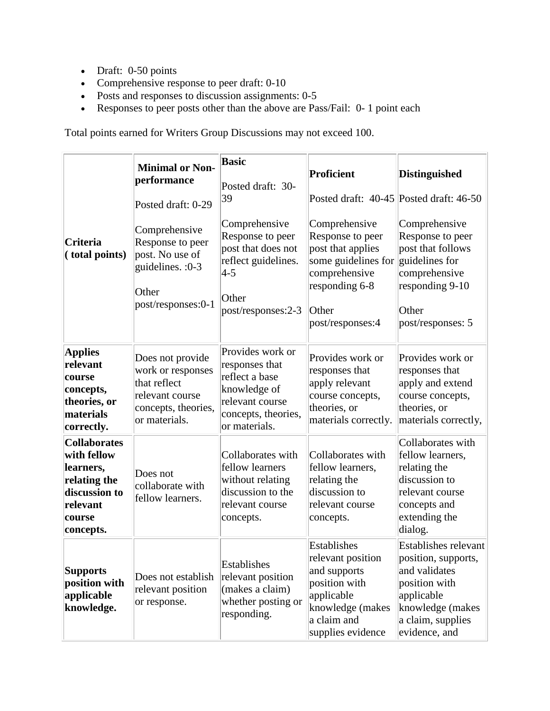- Draft: 0-50 points
- Comprehensive response to peer draft: 0-10
- Posts and responses to discussion assignments: 0-5
- Responses to peer posts other than the above are Pass/Fail: 0- 1 point each

Total points earned for Writers Group Discussions may not exceed 100.

|                                                                                                                     | <b>Minimal or Non-</b><br>performance                                                                            | <b>Basic</b><br>Posted draft: 30-<br>39                                                                                         | Proficient<br>Posted draft: 40-45 Posted draft: 46-50                                                                                   | Distinguished                                                                                                                                                |
|---------------------------------------------------------------------------------------------------------------------|------------------------------------------------------------------------------------------------------------------|---------------------------------------------------------------------------------------------------------------------------------|-----------------------------------------------------------------------------------------------------------------------------------------|--------------------------------------------------------------------------------------------------------------------------------------------------------------|
| <b>Criteria</b><br>(total points)                                                                                   | Posted draft: 0-29<br>Comprehensive<br>Response to peer<br>post. No use of<br>guidelines. : 0-3<br>Other         | Comprehensive<br>Response to peer<br>post that does not<br>reflect guidelines.<br>$ 4-5 $<br>Other                              | Comprehensive<br>Response to peer<br>post that applies<br>some guidelines for<br>comprehensive<br>responding 6-8                        | Comprehensive<br>Response to peer<br>post that follows<br>guidelines for<br>comprehensive<br>responding $9-10$                                               |
|                                                                                                                     | post/responses:0-1                                                                                               | post/responses:2-3                                                                                                              | Other<br>post/responses:4                                                                                                               | Other<br>post/responses: 5                                                                                                                                   |
| <b>Applies</b><br>relevant<br>course<br>concepts,<br>theories, or<br>materials<br>correctly.                        | Does not provide<br>work or responses<br>that reflect<br>relevant course<br>concepts, theories,<br>or materials. | Provides work or<br>responses that<br>reflect a base<br>knowledge of<br>relevant course<br>concepts, theories,<br>or materials. | Provides work or<br>responses that<br>apply relevant<br>course concepts,<br>theories, or<br>materials correctly.                        | Provides work or<br>responses that<br>apply and extend<br>course concepts,<br>theories, or<br>materials correctly,                                           |
| <b>Collaborates</b><br>with fellow<br>learners,<br>relating the<br>discussion to<br>relevant<br>course<br>concepts. | Does not<br>collaborate with<br>fellow learners.                                                                 | Collaborates with<br>fellow learners<br>without relating<br>discussion to the<br>relevant course<br>concepts.                   | Collaborates with<br>fellow learners,<br>relating the<br>discussion to<br>relevant course<br>concepts.                                  | Collaborates with<br>fellow learners,<br>relating the<br>discussion to<br>relevant course<br>concepts and<br>extending the<br>dialog.                        |
| <b>Supports</b><br>position with<br>applicable<br>knowledge.                                                        | Does not establish<br>relevant position<br>or response.                                                          | Establishes<br>relevant position<br>(makes a claim)<br>whether posting or<br>responding.                                        | Establishes<br>relevant position<br>and supports<br>position with<br>applicable<br>knowledge (makes<br>a claim and<br>supplies evidence | <b>Establishes relevant</b><br>position, supports,<br>and validates<br>position with<br>applicable<br>knowledge (makes<br>a claim, supplies<br>evidence, and |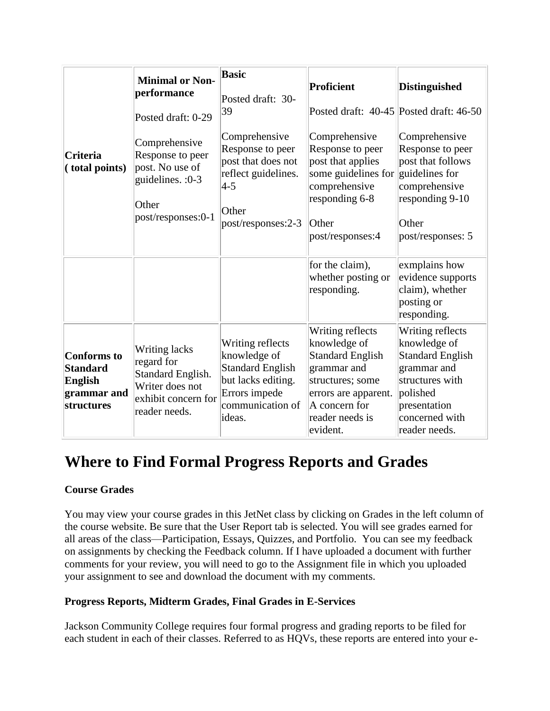|                                                                                      | <b>Minimal or Non-</b><br>performance<br>Posted draft: 0-29                                                 | <b>Basic</b><br>Posted draft: 30-<br>39                                                                                          | Proficient<br>Posted draft: 40-45 Posted draft: 46-50                                                                                                                  | <b>Distinguished</b>                                                                                                                                         |
|--------------------------------------------------------------------------------------|-------------------------------------------------------------------------------------------------------------|----------------------------------------------------------------------------------------------------------------------------------|------------------------------------------------------------------------------------------------------------------------------------------------------------------------|--------------------------------------------------------------------------------------------------------------------------------------------------------------|
| <b>Criteria</b><br>(total points)                                                    | Comprehensive<br>Response to peer<br>post. No use of<br>guidelines. : 0-3<br>Other<br>post/responses:0-1    | Comprehensive<br>Response to peer<br>post that does not<br>reflect guidelines.<br>$ 4-5 $<br>Other<br>post/responses:2-3         | Comprehensive<br>Response to peer<br>post that applies<br>some guidelines for guidelines for<br>comprehensive<br>responding 6-8<br>Other<br>post/responses:4           | Comprehensive<br>Response to peer<br>post that follows<br>comprehensive<br>responding 9-10<br>Other<br>post/responses: 5                                     |
|                                                                                      |                                                                                                             |                                                                                                                                  | for the claim),<br>whether posting or<br>responding.                                                                                                                   | exmplains how<br>evidence supports<br>claim), whether<br>posting or<br>responding.                                                                           |
| <b>Conforms</b> to<br><b>Standard</b><br><b>English</b><br>grammar and<br>structures | Writing lacks<br>regard for<br>Standard English.<br>Writer does not<br>exhibit concern for<br>reader needs. | Writing reflects<br>knowledge of<br><b>Standard English</b><br>but lacks editing.<br>Errors impede<br>communication of<br>ideas. | Writing reflects<br>knowledge of<br><b>Standard English</b><br>grammar and<br>structures; some<br>errors are apparent.<br>A concern for<br>reader needs is<br>evident. | Writing reflects<br>knowledge of<br><b>Standard English</b><br>grammar and<br>structures with<br>polished<br>presentation<br>concerned with<br>reader needs. |

# **Where to Find Formal Progress Reports and Grades**

### **Course Grades**

You may view your course grades in this JetNet class by clicking on Grades in the left column of the course website. Be sure that the User Report tab is selected. You will see grades earned for all areas of the class—Participation, Essays, Quizzes, and Portfolio. You can see my feedback on assignments by checking the Feedback column. If I have uploaded a document with further comments for your review, you will need to go to the Assignment file in which you uploaded your assignment to see and download the document with my comments.

#### **Progress Reports, Midterm Grades, Final Grades in E-Services**

Jackson Community College requires four formal progress and grading reports to be filed for each student in each of their classes. Referred to as HQVs, these reports are entered into your e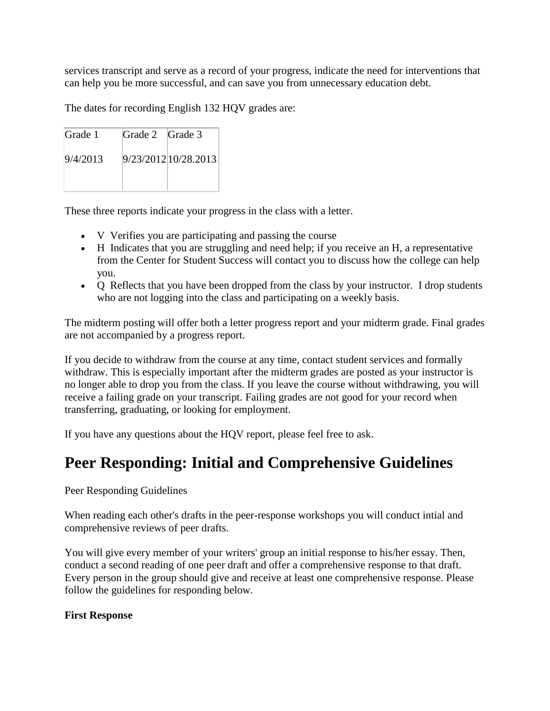services transcript and serve as a record of your progress, indicate the need for interventions that can help you be more successful, and can save you from unnecessary education debt.

The dates for recording English 132 HQV grades are:

| Grade 1  | Grade 2 Grade 3 |                      |
|----------|-----------------|----------------------|
| 9/4/2013 |                 | 9/23/2012 10/28.2013 |
|          |                 |                      |

These three reports indicate your progress in the class with a letter.

- V Verifies you are participating and passing the course
- H Indicates that you are struggling and need help; if you receive an H, a representative from the Center for Student Success will contact you to discuss how the college can help you.
- Q Reflects that you have been dropped from the class by your instructor. I drop students who are not logging into the class and participating on a weekly basis.

The midterm posting will offer both a letter progress report and your midterm grade. Final grades are not accompanied by a progress report.

If you decide to withdraw from the course at any time, contact student services and formally withdraw. This is especially important after the midterm grades are posted as your instructor is no longer able to drop you from the class. If you leave the course without withdrawing, you will receive a failing grade on your transcript. Failing grades are not good for your record when transferring, graduating, or looking for employment.

If you have any questions about the HQV report, please feel free to ask.

# **Peer Responding: Initial and Comprehensive Guidelines**

Peer Responding Guidelines

When reading each other's drafts in the peer-response workshops you will conduct intial and comprehensive reviews of peer drafts.

You will give every member of your writers' group an initial response to his/her essay. Then, conduct a second reading of one peer draft and offer a comprehensive response to that draft. Every person in the group should give and receive at least one comprehensive response. Please follow the guidelines for responding below.

#### **First Response**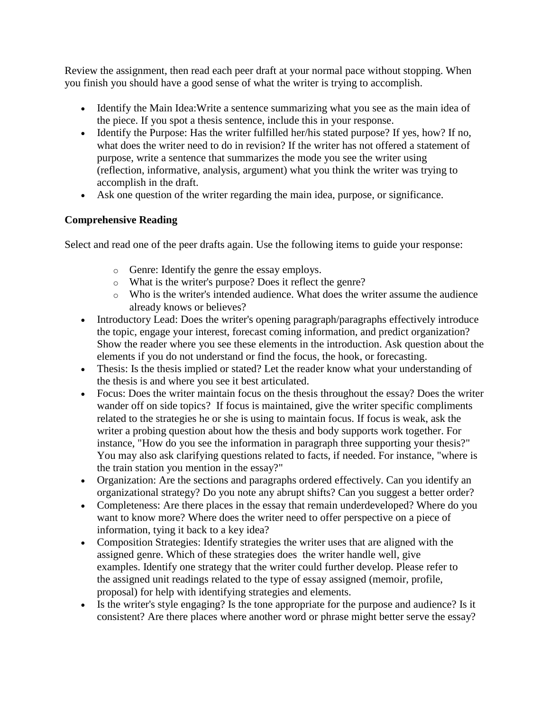Review the assignment, then read each peer draft at your normal pace without stopping. When you finish you should have a good sense of what the writer is trying to accomplish.

- Identify the Main Idea: Write a sentence summarizing what you see as the main idea of the piece. If you spot a thesis sentence, include this in your response.
- Identify the Purpose: Has the writer fulfilled her/his stated purpose? If yes, how? If no, what does the writer need to do in revision? If the writer has not offered a statement of purpose, write a sentence that summarizes the mode you see the writer using (reflection, informative, analysis, argument) what you think the writer was trying to accomplish in the draft.
- Ask one question of the writer regarding the main idea, purpose, or significance.

## **Comprehensive Reading**

Select and read one of the peer drafts again. Use the following items to guide your response:

- o Genre: Identify the genre the essay employs.
- o What is the writer's purpose? Does it reflect the genre?
- o Who is the writer's intended audience. What does the writer assume the audience already knows or believes?
- Introductory Lead: Does the writer's opening paragraph/paragraphs effectively introduce the topic, engage your interest, forecast coming information, and predict organization? Show the reader where you see these elements in the introduction. Ask question about the elements if you do not understand or find the focus, the hook, or forecasting.
- Thesis: Is the thesis implied or stated? Let the reader know what your understanding of the thesis is and where you see it best articulated.
- Focus: Does the writer maintain focus on the thesis throughout the essay? Does the writer wander off on side topics? If focus is maintained, give the writer specific compliments related to the strategies he or she is using to maintain focus. If focus is weak, ask the writer a probing question about how the thesis and body supports work together. For instance, "How do you see the information in paragraph three supporting your thesis?" You may also ask clarifying questions related to facts, if needed. For instance, "where is the train station you mention in the essay?"
- Organization: Are the sections and paragraphs ordered effectively. Can you identify an organizational strategy? Do you note any abrupt shifts? Can you suggest a better order?
- Completeness: Are there places in the essay that remain underdeveloped? Where do you want to know more? Where does the writer need to offer perspective on a piece of information, tying it back to a key idea?
- Composition Strategies: Identify strategies the writer uses that are aligned with the assigned genre. Which of these strategies does the writer handle well, give examples. Identify one strategy that the writer could further develop. Please refer to the assigned unit readings related to the type of essay assigned (memoir, profile, proposal) for help with identifying strategies and elements.
- Is the writer's style engaging? Is the tone appropriate for the purpose and audience? Is it consistent? Are there places where another word or phrase might better serve the essay?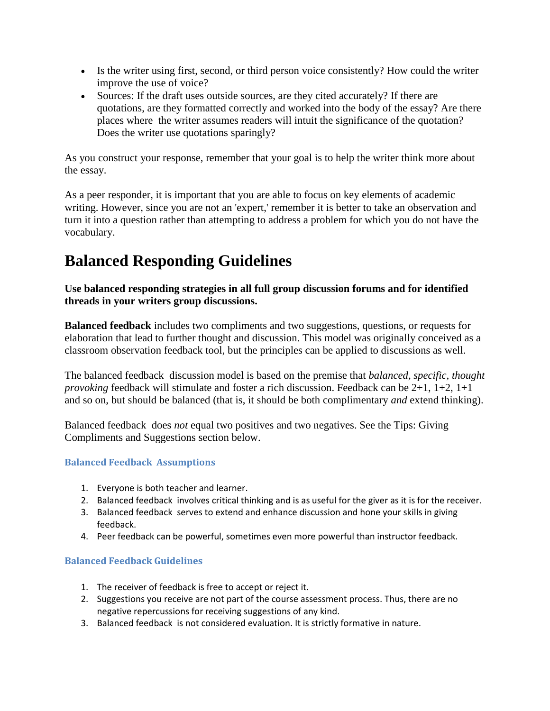- Is the writer using first, second, or third person voice consistently? How could the writer improve the use of voice?
- Sources: If the draft uses outside sources, are they cited accurately? If there are quotations, are they formatted correctly and worked into the body of the essay? Are there places where the writer assumes readers will intuit the significance of the quotation? Does the writer use quotations sparingly?

As you construct your response, remember that your goal is to help the writer think more about the essay.

As a peer responder, it is important that you are able to focus on key elements of academic writing. However, since you are not an 'expert,' remember it is better to take an observation and turn it into a question rather than attempting to address a problem for which you do not have the vocabulary.

# **Balanced Responding Guidelines**

**Use balanced responding strategies in all full group discussion forums and for identified threads in your writers group discussions.**

**Balanced feedback** includes two compliments and two suggestions, questions, or requests for elaboration that lead to further thought and discussion. This model was originally conceived as a classroom observation feedback tool, but the principles can be applied to discussions as well.

The balanced feedback discussion model is based on the premise that *balanced, specific, thought provoking* feedback will stimulate and foster a rich discussion. Feedback can be 2+1, 1+2, 1+1 and so on, but should be balanced (that is, it should be both complimentary *and* extend thinking).

Balanced feedback does *not* equal two positives and two negatives. See the Tips: Giving Compliments and Suggestions section below.

#### **Balanced Feedback Assumptions**

- 1. Everyone is both teacher and learner.
- 2. Balanced feedback involves critical thinking and is as useful for the giver as it is for the receiver.
- 3. Balanced feedback serves to extend and enhance discussion and hone your skills in giving feedback.
- 4. Peer feedback can be powerful, sometimes even more powerful than instructor feedback.

#### **Balanced Feedback Guidelines**

- 1. The receiver of feedback is free to accept or reject it.
- 2. Suggestions you receive are not part of the course assessment process. Thus, there are no negative repercussions for receiving suggestions of any kind.
- 3. Balanced feedback is not considered evaluation. It is strictly formative in nature.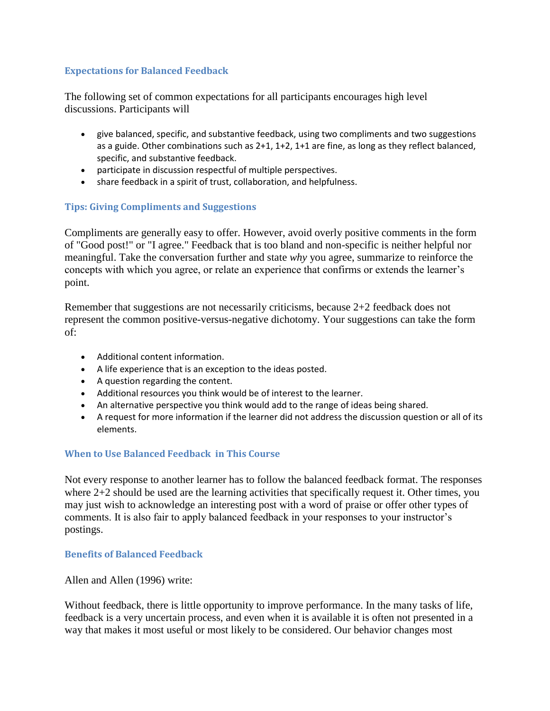#### **Expectations for Balanced Feedback**

The following set of common expectations for all participants encourages high level discussions. Participants will

- give balanced, specific, and substantive feedback, using two compliments and two suggestions as a guide. Other combinations such as 2+1, 1+2, 1+1 are fine, as long as they reflect balanced, specific, and substantive feedback.
- participate in discussion respectful of multiple perspectives.
- share feedback in a spirit of trust, collaboration, and helpfulness.

#### **Tips: Giving Compliments and Suggestions**

Compliments are generally easy to offer. However, avoid overly positive comments in the form of "Good post!" or "I agree." Feedback that is too bland and non-specific is neither helpful nor meaningful. Take the conversation further and state *why* you agree, summarize to reinforce the concepts with which you agree, or relate an experience that confirms or extends the learner's point.

Remember that suggestions are not necessarily criticisms, because 2+2 feedback does not represent the common positive-versus-negative dichotomy. Your suggestions can take the form of:

- Additional content information.
- A life experience that is an exception to the ideas posted.
- A question regarding the content.
- Additional resources you think would be of interest to the learner.
- An alternative perspective you think would add to the range of ideas being shared.
- A request for more information if the learner did not address the discussion question or all of its elements.

#### **When to Use Balanced Feedback in This Course**

Not every response to another learner has to follow the balanced feedback format. The responses where 2+2 should be used are the learning activities that specifically request it. Other times, you may just wish to acknowledge an interesting post with a word of praise or offer other types of comments. It is also fair to apply balanced feedback in your responses to your instructor's postings.

#### **Benefits of Balanced Feedback**

Allen and Allen (1996) write:

Without feedback, there is little opportunity to improve performance. In the many tasks of life, feedback is a very uncertain process, and even when it is available it is often not presented in a way that makes it most useful or most likely to be considered. Our behavior changes most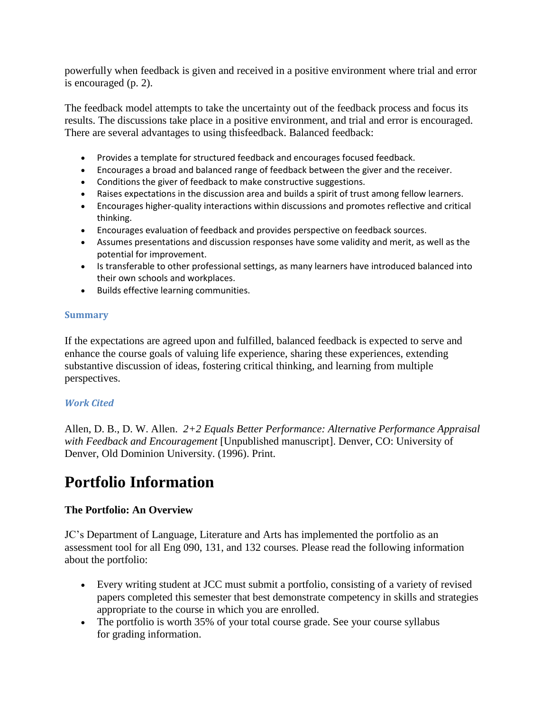powerfully when feedback is given and received in a positive environment where trial and error is encouraged (p. 2).

The feedback model attempts to take the uncertainty out of the feedback process and focus its results. The discussions take place in a positive environment, and trial and error is encouraged. There are several advantages to using thisfeedback. Balanced feedback:

- Provides a template for structured feedback and encourages focused feedback.
- Encourages a broad and balanced range of feedback between the giver and the receiver.
- Conditions the giver of feedback to make constructive suggestions.
- Raises expectations in the discussion area and builds a spirit of trust among fellow learners.
- Encourages higher-quality interactions within discussions and promotes reflective and critical thinking.
- Encourages evaluation of feedback and provides perspective on feedback sources.
- Assumes presentations and discussion responses have some validity and merit, as well as the potential for improvement.
- Is transferable to other professional settings, as many learners have introduced balanced into their own schools and workplaces.
- **•** Builds effective learning communities.

#### **Summary**

If the expectations are agreed upon and fulfilled, balanced feedback is expected to serve and enhance the course goals of valuing life experience, sharing these experiences, extending substantive discussion of ideas, fostering critical thinking, and learning from multiple perspectives.

#### *Work Cited*

Allen, D. B., D. W. Allen. *2+2 Equals Better Performance: Alternative Performance Appraisal with Feedback and Encouragement* [Unpublished manuscript]. Denver, CO: University of Denver, Old Dominion University. (1996). Print.

# **Portfolio Information**

#### **The Portfolio: An Overview**

JC's Department of Language, Literature and Arts has implemented the portfolio as an assessment tool for all Eng 090, 131, and 132 courses. Please read the following information about the portfolio:

- Every writing student at JCC must submit a portfolio, consisting of a variety of revised papers completed this semester that best demonstrate competency in skills and strategies appropriate to the course in which you are enrolled.
- The portfolio is worth 35% of your total course grade. See your course syllabus for grading information.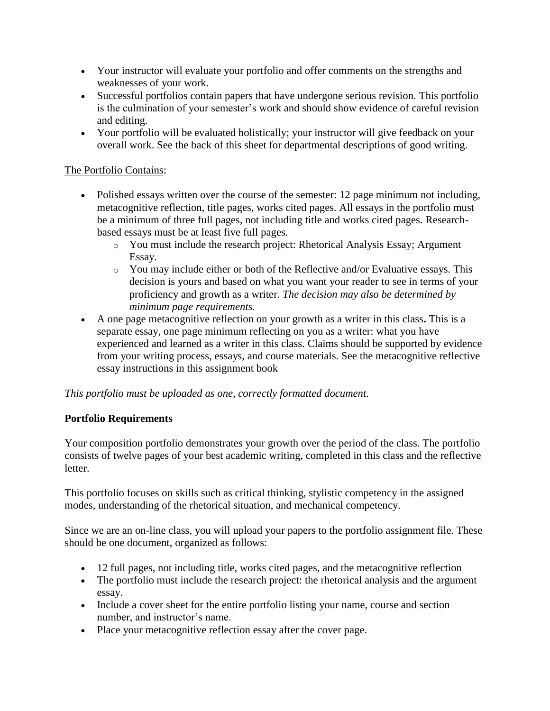- Your instructor will evaluate your portfolio and offer comments on the strengths and weaknesses of your work.
- Successful portfolios contain papers that have undergone serious revision. This portfolio is the culmination of your semester's work and should show evidence of careful revision and editing.
- Your portfolio will be evaluated holistically; your instructor will give feedback on your overall work. See the back of this sheet for departmental descriptions of good writing.

### The Portfolio Contains:

- Polished essays written over the course of the semester: 12 page minimum not including, metacognitive reflection, title pages, works cited pages. All essays in the portfolio must be a minimum of three full pages, not including title and works cited pages. Researchbased essays must be at least five full pages.
	- o You must include the research project: Rhetorical Analysis Essay; Argument Essay.
	- o You may include either or both of the Reflective and/or Evaluative essays. This decision is yours and based on what you want your reader to see in terms of your proficiency and growth as a writer. *The decision may also be determined by minimum page requirements.*
- A one page metacognitive reflection on your growth as a writer in this class**.** This is a separate essay, one page minimum reflecting on you as a writer: what you have experienced and learned as a writer in this class. Claims should be supported by evidence from your writing process, essays, and course materials. See the metacognitive reflective essay instructions in this assignment book

*This portfolio must be uploaded as one, correctly formatted document.*

#### **Portfolio Requirements**

Your composition portfolio demonstrates your growth over the period of the class. The portfolio consists of twelve pages of your best academic writing, completed in this class and the reflective letter.

This portfolio focuses on skills such as critical thinking, stylistic competency in the assigned modes, understanding of the rhetorical situation, and mechanical competency.

Since we are an on-line class, you will upload your papers to the portfolio assignment file. These should be one document, organized as follows:

- 12 full pages, not including title, works cited pages, and the metacognitive reflection
- The portfolio must include the research project: the rhetorical analysis and the argument essay.
- Include a cover sheet for the entire portfolio listing your name, course and section number, and instructor's name.
- Place your metacognitive reflection essay after the cover page.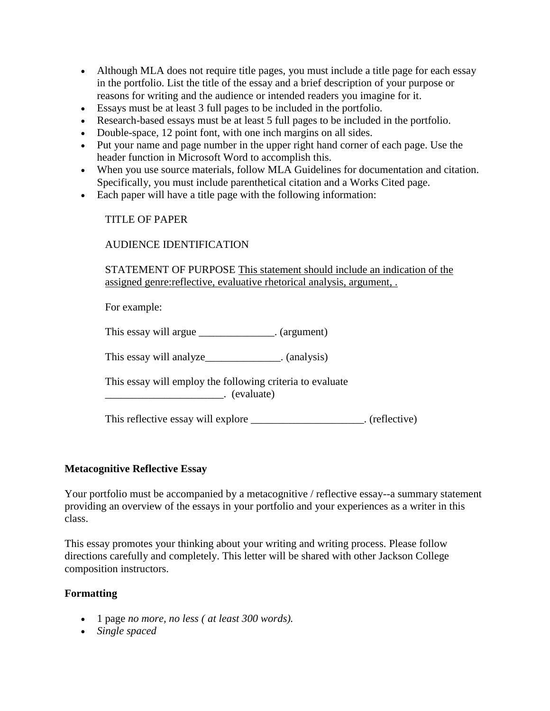- Although MLA does not require title pages, you must include a title page for each essay in the portfolio. List the title of the essay and a brief description of your purpose or reasons for writing and the audience or intended readers you imagine for it.
- Essays must be at least 3 full pages to be included in the portfolio.
- Research-based essays must be at least 5 full pages to be included in the portfolio.
- Double-space, 12 point font, with one inch margins on all sides.
- Put your name and page number in the upper right hand corner of each page. Use the header function in Microsoft Word to accomplish this.
- When you use source materials, follow MLA Guidelines for documentation and citation. Specifically, you must include parenthetical citation and a Works Cited page.
- Each paper will have a title page with the following information:

#### TITLE OF PAPER

#### AUDIENCE IDENTIFICATION

STATEMENT OF PURPOSE This statement should include an indication of the assigned genre:reflective, evaluative rhetorical analysis, argument, .

For example:

This essay will argue \_\_\_\_\_\_\_\_\_\_\_\_\_\_. (argument)

This essay will analyze (analysis)

This essay will employ the following criteria to evaluate \_\_\_\_\_\_\_\_\_\_\_\_\_\_\_\_\_\_\_\_\_\_. (evaluate)

This reflective essay will explore \_\_\_\_\_\_\_\_\_\_\_\_\_\_\_\_\_\_\_\_\_. (reflective)

#### **Metacognitive Reflective Essay**

Your portfolio must be accompanied by a metacognitive / reflective essay--a summary statement providing an overview of the essays in your portfolio and your experiences as a writer in this class.

This essay promotes your thinking about your writing and writing process. Please follow directions carefully and completely. This letter will be shared with other Jackson College composition instructors.

#### **Formatting**

- 1 page *no more, no less ( at least 300 words).*
- *Single spaced*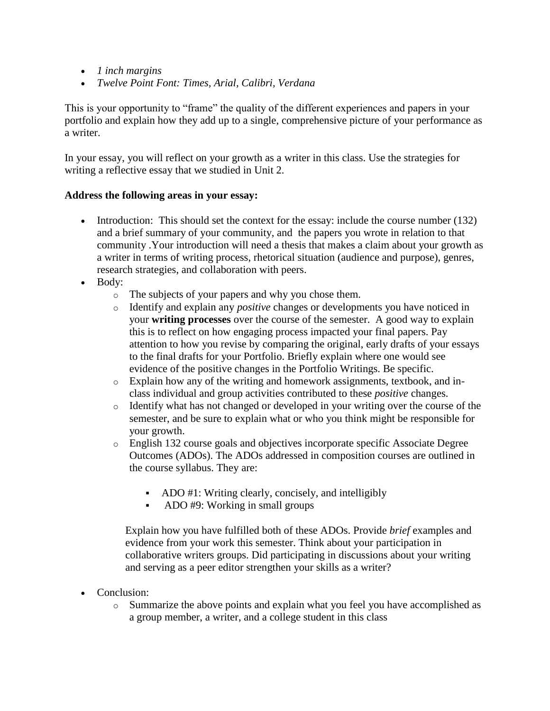- *1 inch margins*
- *Twelve Point Font: Times, Arial, Calibri, Verdana*

This is your opportunity to "frame" the quality of the different experiences and papers in your portfolio and explain how they add up to a single, comprehensive picture of your performance as a writer.

In your essay, you will reflect on your growth as a writer in this class. Use the strategies for writing a reflective essay that we studied in Unit 2.

#### **Address the following areas in your essay:**

- Introduction: This should set the context for the essay: include the course number (132) and a brief summary of your community, and the papers you wrote in relation to that community .Your introduction will need a thesis that makes a claim about your growth as a writer in terms of writing process, rhetorical situation (audience and purpose), genres, research strategies, and collaboration with peers.
- Body:
	- o The subjects of your papers and why you chose them.
	- o Identify and explain any *positive* changes or developments you have noticed in your **writing processes** over the course of the semester. A good way to explain this is to reflect on how engaging process impacted your final papers. Pay attention to how you revise by comparing the original, early drafts of your essays to the final drafts for your Portfolio. Briefly explain where one would see evidence of the positive changes in the Portfolio Writings. Be specific.
	- o Explain how any of the writing and homework assignments, textbook, and inclass individual and group activities contributed to these *positive* changes.
	- $\circ$  Identify what has not changed or developed in your writing over the course of the semester, and be sure to explain what or who you think might be responsible for your growth.
	- o English 132 course goals and objectives incorporate specific Associate Degree Outcomes (ADOs). The ADOs addressed in composition courses are outlined in the course syllabus. They are:
		- ADO #1: Writing clearly, concisely, and intelligibly
		- ADO #9: Working in small groups

Explain how you have fulfilled both of these ADOs. Provide *brief* examples and evidence from your work this semester. Think about your participation in collaborative writers groups. Did participating in discussions about your writing and serving as a peer editor strengthen your skills as a writer?

- Conclusion:
	- o Summarize the above points and explain what you feel you have accomplished as a group member, a writer, and a college student in this class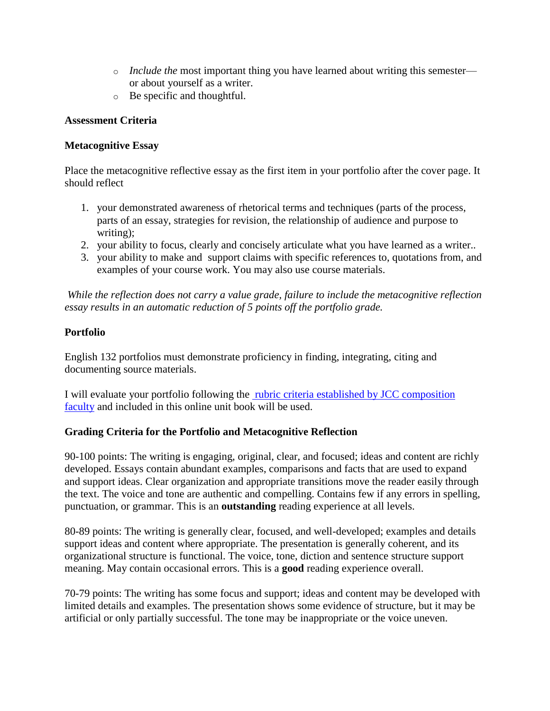- o *Include the* most important thing you have learned about writing this semester or about yourself as a writer.
- o Be specific and thoughtful.

#### **Assessment Criteria**

### **Metacognitive Essay**

Place the metacognitive reflective essay as the first item in your portfolio after the cover page. It should reflect

- 1. your demonstrated awareness of rhetorical terms and techniques (parts of the process, parts of an essay, strategies for revision, the relationship of audience and purpose to writing);
- 2. your ability to focus, clearly and concisely articulate what you have learned as a writer..
- 3. your ability to make and support claims with specific references to, quotations from, and examples of your course work. You may also use course materials.

*While the reflection does not carry a value grade, failure to include the metacognitive reflection essay results in an automatic reduction of 5 points off the portfolio grade.*

### **Portfolio**

English 132 portfolios must demonstrate proficiency in finding, integrating, citing and documenting source materials.

I will evaluate your portfolio following the [rubric criteria established by JCC composition](http://jetnet.jccmi.edu/mod/book/view.php?id=547406&chapterid=43126)  [faculty](http://jetnet.jccmi.edu/mod/book/view.php?id=547406&chapterid=43126) and included in this online unit book will be used.

### **Grading Criteria for the Portfolio and Metacognitive Reflection**

90-100 points: The writing is engaging, original, clear, and focused; ideas and content are richly developed. Essays contain abundant examples, comparisons and facts that are used to expand and support ideas. Clear organization and appropriate transitions move the reader easily through the text. The voice and tone are authentic and compelling. Contains few if any errors in spelling, punctuation, or grammar. This is an **outstanding** reading experience at all levels.

80-89 points: The writing is generally clear, focused, and well-developed; examples and details support ideas and content where appropriate. The presentation is generally coherent, and its organizational structure is functional. The voice, tone, diction and sentence structure support meaning. May contain occasional errors. This is a **good** reading experience overall.

70-79 points: The writing has some focus and support; ideas and content may be developed with limited details and examples. The presentation shows some evidence of structure, but it may be artificial or only partially successful. The tone may be inappropriate or the voice uneven.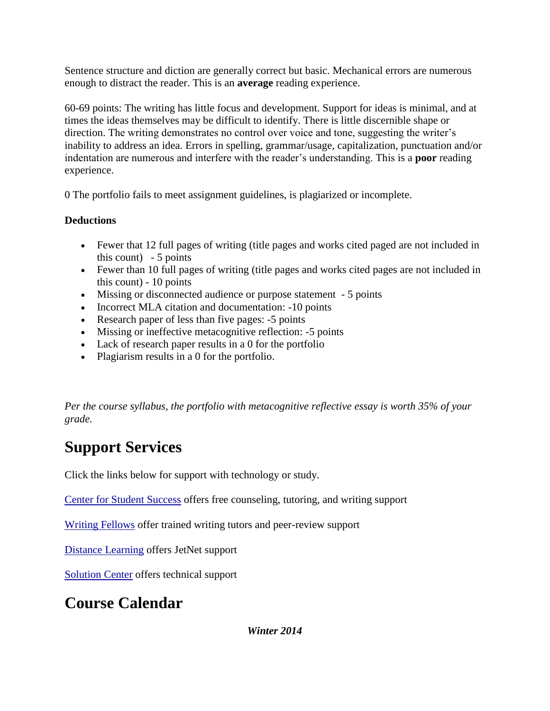Sentence structure and diction are generally correct but basic. Mechanical errors are numerous enough to distract the reader. This is an **average** reading experience.

60-69 points: The writing has little focus and development. Support for ideas is minimal, and at times the ideas themselves may be difficult to identify. There is little discernible shape or direction. The writing demonstrates no control over voice and tone, suggesting the writer's inability to address an idea. Errors in spelling, grammar/usage, capitalization, punctuation and/or indentation are numerous and interfere with the reader's understanding. This is a **poor** reading experience.

0 The portfolio fails to meet assignment guidelines, is plagiarized or incomplete.

# **Deductions**

- Fewer that 12 full pages of writing (title pages and works cited paged are not included in this count)  $-5$  points
- Fewer than 10 full pages of writing (title pages and works cited pages are not included in this count) - 10 points
- Missing or disconnected audience or purpose statement 5 points
- Incorrect MLA citation and documentation: -10 points
- Research paper of less than five pages: -5 points
- Missing or ineffective metacognitive reflection: -5 points
- Lack of research paper results in a 0 for the portfolio
- Plagiarism results in a 0 for the portfolio.

*Per the course syllabus, the portfolio with metacognitive reflective essay is worth 35% of your grade.*

# **Support Services**

Click the links below for support with technology or study.

[Center for Student Success](http://www.jccmi.edu/success/) offers free counseling, tutoring, and writing support

[Writing Fellows](http://www.jccmi.edu/WritingFellows/) offer trained writing tutors and peer-review support

[Distance Learning](http://jetnet.jccmi.edu/) offers JetNet support

[Solution Center](http://www.jccmi.edu/InfoTech/SolCen.htm) offers technical support

# **Course Calendar**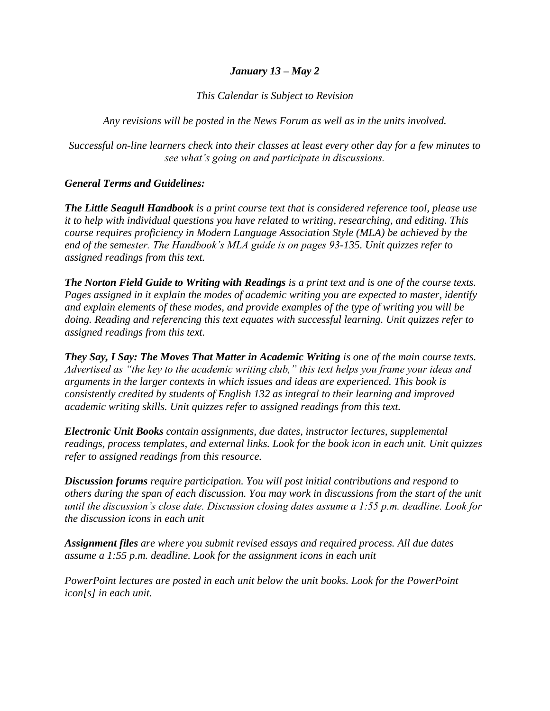#### *January 13 – May 2*

*This Calendar is Subject to Revision* 

*Any revisions will be posted in the News Forum as well as in the units involved.* 

*Successful on-line learners check into their classes at least every other day for a few minutes to see what's going on and participate in discussions.* 

#### *General Terms and Guidelines:*

*The Little Seagull Handbook is a print course text that is considered reference tool, please use it to help with individual questions you have related to writing, researching, and editing. This course requires proficiency in Modern Language Association Style (MLA) be achieved by the end of the semester. The Handbook's MLA guide is on pages 93-135. Unit quizzes refer to assigned readings from this text.* 

*The Norton Field Guide to Writing with Readings is a print text and is one of the course texts. Pages assigned in it explain the modes of academic writing you are expected to master, identify and explain elements of these modes, and provide examples of the type of writing you will be doing. Reading and referencing this text equates with successful learning. Unit quizzes refer to assigned readings from this text.* 

*They Say, I Say: The Moves That Matter in Academic Writing is one of the main course texts. Advertised as "the key to the academic writing club," this text helps you frame your ideas and arguments in the larger contexts in which issues and ideas are experienced. This book is consistently credited by students of English 132 as integral to their learning and improved academic writing skills. Unit quizzes refer to assigned readings from this text.* 

*Electronic Unit Books contain assignments, due dates, instructor lectures, supplemental readings, process templates, and external links. Look for the book icon in each unit. Unit quizzes refer to assigned readings from this resource.* 

*Discussion forums require participation. You will post initial contributions and respond to others during the span of each discussion. You may work in discussions from the start of the unit until the discussion's close date. Discussion closing dates assume a 1:55 p.m. deadline. Look for the discussion icons in each unit* 

*Assignment files are where you submit revised essays and required process. All due dates assume a 1:55 p.m. deadline. Look for the assignment icons in each unit* 

*PowerPoint lectures are posted in each unit below the unit books. Look for the PowerPoint icon[s] in each unit.*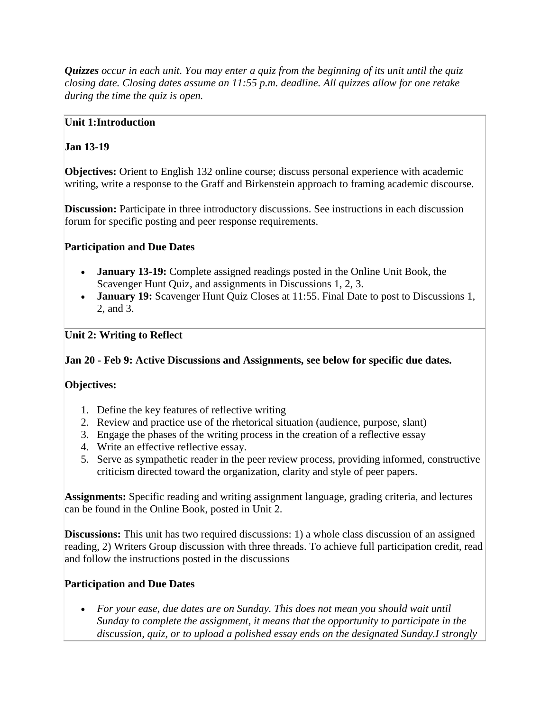*Quizzes occur in each unit. You may enter a quiz from the beginning of its unit until the quiz closing date. Closing dates assume an 11:55 p.m. deadline. All quizzes allow for one retake during the time the quiz is open.*

#### **Unit 1:Introduction**

### **Jan 13-19**

**Objectives:** Orient to English 132 online course; discuss personal experience with academic writing, write a response to the Graff and Birkenstein approach to framing academic discourse.

**Discussion:** Participate in three introductory discussions. See instructions in each discussion forum for specific posting and peer response requirements.

### **Participation and Due Dates**

- **January 13-19:** Complete assigned readings posted in the Online Unit Book, the Scavenger Hunt Quiz, and assignments in Discussions 1, 2, 3.
- **January 19:** Scavenger Hunt Quiz Closes at 11:55. Final Date to post to Discussions 1, 2, and 3.

## **Unit 2: Writing to Reflect**

### **Jan 20 - Feb 9: Active Discussions and Assignments, see below for specific due dates.**

## **Objectives:**

- 1. Define the key features of reflective writing
- 2. Review and practice use of the rhetorical situation (audience, purpose, slant)
- 3. Engage the phases of the writing process in the creation of a reflective essay
- 4. Write an effective reflective essay.
- 5. Serve as sympathetic reader in the peer review process, providing informed, constructive criticism directed toward the organization, clarity and style of peer papers.

**Assignments:** Specific reading and writing assignment language, grading criteria, and lectures can be found in the Online Book, posted in Unit 2.

**Discussions:** This unit has two required discussions: 1) a whole class discussion of an assigned reading, 2) Writers Group discussion with three threads. To achieve full participation credit, read and follow the instructions posted in the discussions

### **Participation and Due Dates**

 *For your ease, due dates are on Sunday. This does not mean you should wait until Sunday to complete the assignment, it means that the opportunity to participate in the discussion, quiz, or to upload a polished essay ends on the designated Sunday.I strongly*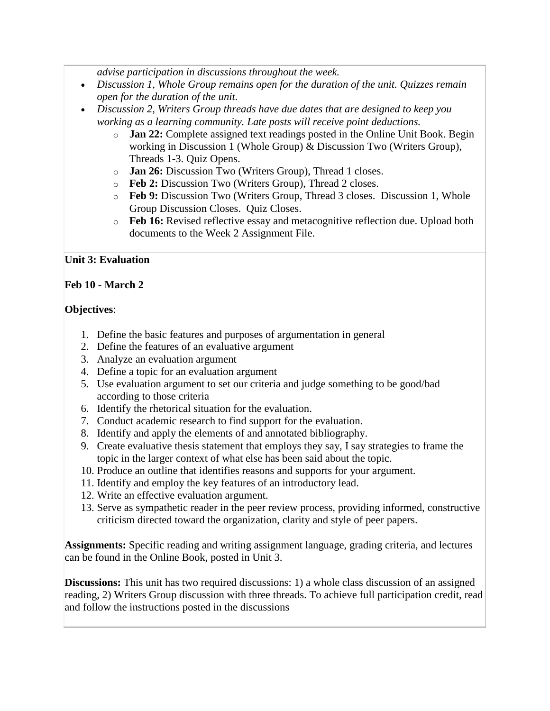*advise participation in discussions throughout the week.* 

- *Discussion 1, Whole Group remains open for the duration of the unit. Quizzes remain open for the duration of the unit.*
- *Discussion 2, Writers Group threads have due dates that are designed to keep you working as a learning community. Late posts will receive point deductions.*
	- o **Jan 22:** Complete assigned text readings posted in the Online Unit Book. Begin working in Discussion 1 (Whole Group) & Discussion Two (Writers Group), Threads 1-3. Quiz Opens.
	- o **Jan 26:** Discussion Two (Writers Group), Thread 1 closes.
	- o **Feb 2:** Discussion Two (Writers Group), Thread 2 closes.
	- o **Feb 9:** Discussion Two (Writers Group, Thread 3 closes. Discussion 1, Whole Group Discussion Closes. Quiz Closes.
	- o **Feb 16:** Revised reflective essay and metacognitive reflection due. Upload both documents to the Week 2 Assignment File.

#### **Unit 3: Evaluation**

#### **Feb 10 - March 2**

#### **Objectives**:

- 1. Define the basic features and purposes of argumentation in general
- 2. Define the features of an evaluative argument
- 3. Analyze an evaluation argument
- 4. Define a topic for an evaluation argument
- 5. Use evaluation argument to set our criteria and judge something to be good/bad according to those criteria
- 6. Identify the rhetorical situation for the evaluation.
- 7. Conduct academic research to find support for the evaluation.
- 8. Identify and apply the elements of and annotated bibliography.
- 9. Create evaluative thesis statement that employs they say, I say strategies to frame the topic in the larger context of what else has been said about the topic.
- 10. Produce an outline that identifies reasons and supports for your argument.
- 11. Identify and employ the key features of an introductory lead.
- 12. Write an effective evaluation argument.
- 13. Serve as sympathetic reader in the peer review process, providing informed, constructive criticism directed toward the organization, clarity and style of peer papers.

**Assignments:** Specific reading and writing assignment language, grading criteria, and lectures can be found in the Online Book, posted in Unit 3.

**Discussions:** This unit has two required discussions: 1) a whole class discussion of an assigned reading, 2) Writers Group discussion with three threads. To achieve full participation credit, read and follow the instructions posted in the discussions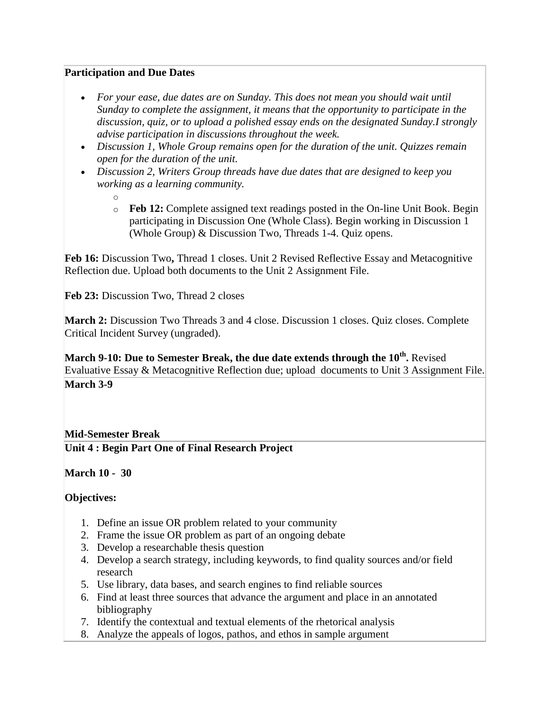#### **Participation and Due Dates**

- *For your ease, due dates are on Sunday. This does not mean you should wait until Sunday to complete the assignment, it means that the opportunity to participate in the discussion, quiz, or to upload a polished essay ends on the designated Sunday.I strongly advise participation in discussions throughout the week.*
- *Discussion 1, Whole Group remains open for the duration of the unit. Quizzes remain open for the duration of the unit.*
- *Discussion 2, Writers Group threads have due dates that are designed to keep you working as a learning community.* 
	- o
	- o **Feb 12:** Complete assigned text readings posted in the On-line Unit Book. Begin participating in Discussion One (Whole Class). Begin working in Discussion 1 (Whole Group) & Discussion Two, Threads 1-4. Quiz opens.

**Feb 16:** Discussion Two**,** Thread 1 closes. Unit 2 Revised Reflective Essay and Metacognitive Reflection due. Upload both documents to the Unit 2 Assignment File.

Feb 23: Discussion Two, Thread 2 closes

March 2: Discussion Two Threads 3 and 4 close. Discussion 1 closes. Quiz closes. Complete Critical Incident Survey (ungraded).

**March 9-10: Due to Semester Break, the due date extends through the 10th .** Revised Evaluative Essay & Metacognitive Reflection due; upload documents to Unit 3 Assignment File. **March 3-9** 

#### **Mid-Semester Break**

**Unit 4 : Begin Part One of Final Research Project**

**March 10 - 30** 

#### **Objectives:**

- 1. Define an issue OR problem related to your community
- 2. Frame the issue OR problem as part of an ongoing debate
- 3. Develop a researchable thesis question
- 4. Develop a search strategy, including keywords, to find quality sources and/or field research
- 5. Use library, data bases, and search engines to find reliable sources
- 6. Find at least three sources that advance the argument and place in an annotated bibliography
- 7. Identify the contextual and textual elements of the rhetorical analysis
- 8. Analyze the appeals of logos, pathos, and ethos in sample argument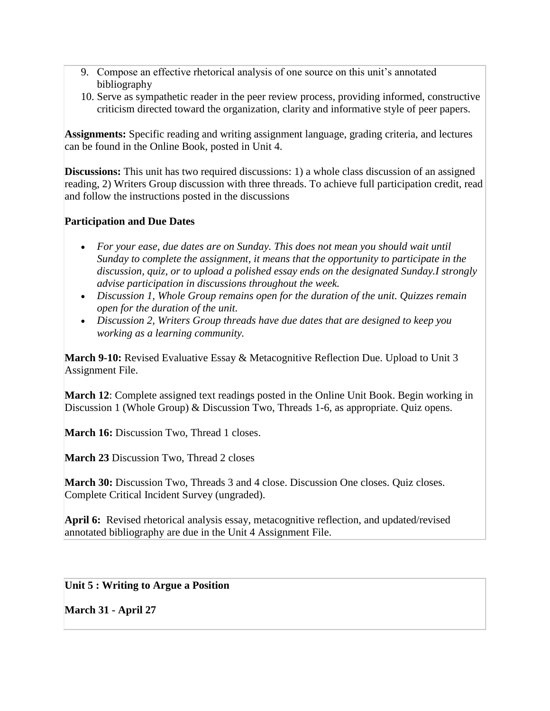- 9. Compose an effective rhetorical analysis of one source on this unit's annotated bibliography
- 10. Serve as sympathetic reader in the peer review process, providing informed, constructive criticism directed toward the organization, clarity and informative style of peer papers.

**Assignments:** Specific reading and writing assignment language, grading criteria, and lectures can be found in the Online Book, posted in Unit 4.

**Discussions:** This unit has two required discussions: 1) a whole class discussion of an assigned reading, 2) Writers Group discussion with three threads. To achieve full participation credit, read and follow the instructions posted in the discussions

#### **Participation and Due Dates**

- *For your ease, due dates are on Sunday. This does not mean you should wait until Sunday to complete the assignment, it means that the opportunity to participate in the discussion, quiz, or to upload a polished essay ends on the designated Sunday.I strongly advise participation in discussions throughout the week.*
- *Discussion 1, Whole Group remains open for the duration of the unit. Quizzes remain open for the duration of the unit.*
- *Discussion 2, Writers Group threads have due dates that are designed to keep you working as a learning community.*

**March 9-10:** Revised Evaluative Essay & Metacognitive Reflection Due. Upload to Unit 3 Assignment File.

**March 12**: Complete assigned text readings posted in the Online Unit Book. Begin working in Discussion 1 (Whole Group) & Discussion Two, Threads 1-6, as appropriate. Quiz opens.

**March 16:** Discussion Two, Thread 1 closes.

**March 23 Discussion Two, Thread 2 closes** 

**March 30:** Discussion Two, Threads 3 and 4 close. Discussion One closes. Quiz closes. Complete Critical Incident Survey (ungraded).

**April 6:** Revised rhetorical analysis essay, metacognitive reflection, and updated/revised annotated bibliography are due in the Unit 4 Assignment File.

**Unit 5 : Writing to Argue a Position** 

**March 31 - April 27**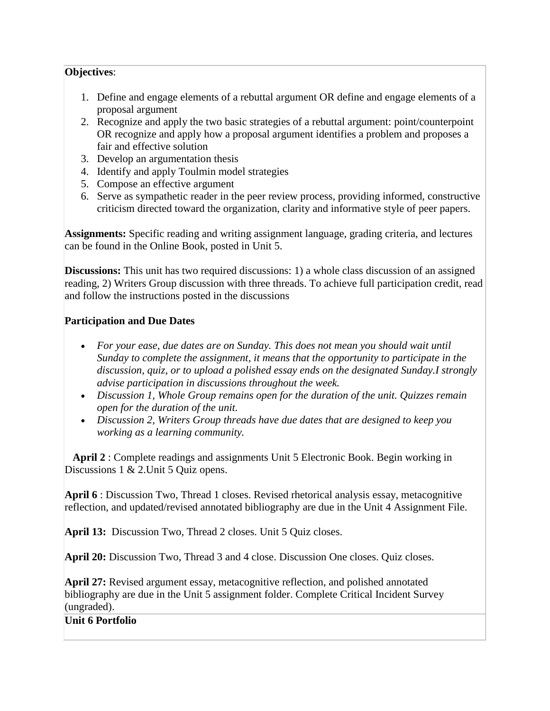#### **Objectives**:

- 1. Define and engage elements of a rebuttal argument OR define and engage elements of a proposal argument
- 2. Recognize and apply the two basic strategies of a rebuttal argument: point/counterpoint OR recognize and apply how a proposal argument identifies a problem and proposes a fair and effective solution
- 3. Develop an argumentation thesis
- 4. Identify and apply Toulmin model strategies
- 5. Compose an effective argument
- 6. Serve as sympathetic reader in the peer review process, providing informed, constructive criticism directed toward the organization, clarity and informative style of peer papers.

**Assignments:** Specific reading and writing assignment language, grading criteria, and lectures can be found in the Online Book, posted in Unit 5.

**Discussions:** This unit has two required discussions: 1) a whole class discussion of an assigned reading, 2) Writers Group discussion with three threads. To achieve full participation credit, read and follow the instructions posted in the discussions

### **Participation and Due Dates**

- *For your ease, due dates are on Sunday. This does not mean you should wait until Sunday to complete the assignment, it means that the opportunity to participate in the discussion, quiz, or to upload a polished essay ends on the designated Sunday.I strongly advise participation in discussions throughout the week.*
- *Discussion 1, Whole Group remains open for the duration of the unit. Quizzes remain open for the duration of the unit.*
- *Discussion 2, Writers Group threads have due dates that are designed to keep you working as a learning community.*

**April 2** : Complete readings and assignments Unit 5 Electronic Book. Begin working in Discussions 1 & 2. Unit 5 Quiz opens.

**April 6** : Discussion Two, Thread 1 closes. Revised rhetorical analysis essay, metacognitive reflection, and updated/revised annotated bibliography are due in the Unit 4 Assignment File.

**April 13:** Discussion Two, Thread 2 closes. Unit 5 Quiz closes.

**April 20:** Discussion Two, Thread 3 and 4 close. Discussion One closes. Quiz closes.

**April 27:** Revised argument essay, metacognitive reflection, and polished annotated bibliography are due in the Unit 5 assignment folder. Complete Critical Incident Survey (ungraded).

**Unit 6 Portfolio**